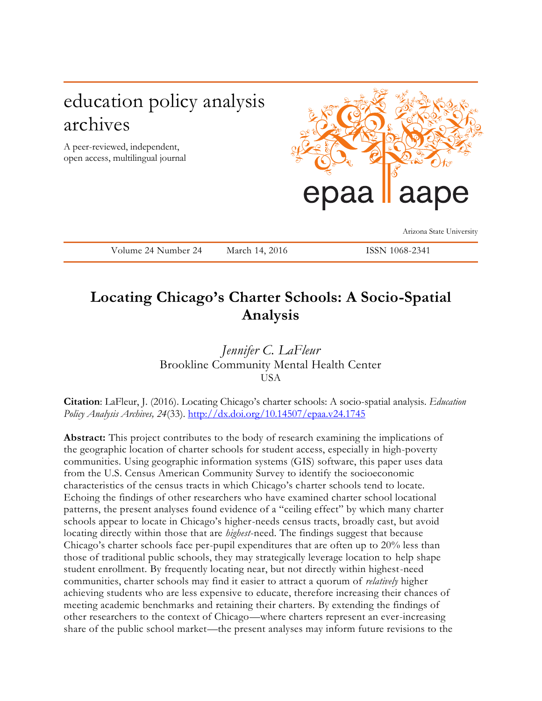## education policy analysis archives

A peer-reviewed, independent, open access, multilingual journal



Arizona State University

Volume 24 Number 24 March 14, 2016 ISSN 1068-2341

## **Locating Chicago's Charter Schools: A Socio-Spatial Analysis**

*Jennifer C. LaFleur* Brookline Community Mental Health Center **USA** 

**Citation**: LaFleur, J. (2016). Locating Chicago's charter schools: A socio-spatial analysis. *Education Policy Analysis Archives, 24*(33). <http://dx.doi.org/10.14507/epaa.v24.1745>

**Abstract:** This project contributes to the body of research examining the implications of the geographic location of charter schools for student access, especially in high-poverty communities. Using geographic information systems (GIS) software, this paper uses data from the U.S. Census American Community Survey to identify the socioeconomic characteristics of the census tracts in which Chicago's charter schools tend to locate. Echoing the findings of other researchers who have examined charter school locational patterns, the present analyses found evidence of a "ceiling effect" by which many charter schools appear to locate in Chicago's higher-needs census tracts, broadly cast, but avoid locating directly within those that are *highest*-need. The findings suggest that because Chicago's charter schools face per-pupil expenditures that are often up to 20% less than those of traditional public schools, they may strategically leverage location to help shape student enrollment. By frequently locating near, but not directly within highest-need communities, charter schools may find it easier to attract a quorum of *relatively* higher achieving students who are less expensive to educate, therefore increasing their chances of meeting academic benchmarks and retaining their charters. By extending the findings of other researchers to the context of Chicago—where charters represent an ever-increasing share of the public school market—the present analyses may inform future revisions to the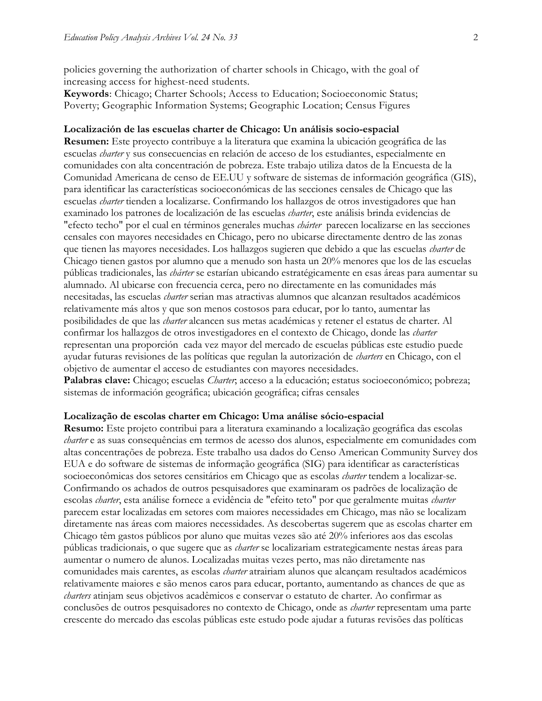policies governing the authorization of charter schools in Chicago, with the goal of increasing access for highest-need students.

**Keywords**: Chicago; Charter Schools; Access to Education; Socioeconomic Status; Poverty; Geographic Information Systems; Geographic Location; Census Figures

#### **Localización de las escuelas charter de Chicago: Un análisis socio-espacial**

**Resumen:** Este proyecto contribuye a la literatura que examina la ubicación geográfica de las escuelas *charter* y sus consecuencias en relación de acceso de los estudiantes, especialmente en comunidades con alta concentración de pobreza. Este trabajo utiliza datos de la Encuesta de la Comunidad Americana de censo de EE.UU y software de sistemas de información geográfica (GIS), para identificar las características socioeconómicas de las secciones censales de Chicago que las escuelas *charter* tienden a localizarse. Confirmando los hallazgos de otros investigadores que han examinado los patrones de localización de las escuelas *charter*, este análisis brinda evidencias de "efecto techo" por el cual en términos generales muchas *chárter* parecen localizarse en las secciones censales con mayores necesidades en Chicago, pero no ubicarse directamente dentro de las zonas que tienen las mayores necesidades. Los hallazgos sugieren que debido a que las escuelas *charter* de Chicago tienen gastos por alumno que a menudo son hasta un 20% menores que los de las escuelas públicas tradicionales, las *chárter* se estarían ubicando estratégicamente en esas áreas para aumentar su alumnado. Al ubicarse con frecuencia cerca, pero no directamente en las comunidades más necesitadas, las escuelas *charter* serian mas atractivas alumnos que alcanzan resultados académicos relativamente más altos y que son menos costosos para educar, por lo tanto, aumentar las posibilidades de que las *charter* alcancen sus metas académicas y retener el estatus de charter. Al confirmar los hallazgos de otros investigadores en el contexto de Chicago, donde las *charter* representan una proporción cada vez mayor del mercado de escuelas públicas este estudio puede ayudar futuras revisiones de las políticas que regulan la autorización de *charters* en Chicago, con el objetivo de aumentar el acceso de estudiantes con mayores necesidades.

**Palabras clave:** Chicago; escuelas *Charter*; acceso a la educación; estatus socioeconómico; pobreza; sistemas de información geográfica; ubicación geográfica; cifras censales

#### **Localização de escolas charter em Chicago: Uma análise sócio-espacial**

**Resumo:** Este projeto contribui para a literatura examinando a localização geográfica das escolas *charter* e as suas consequências em termos de acesso dos alunos, especialmente em comunidades com altas concentrações de pobreza. Este trabalho usa dados do Censo American Community Survey dos EUA e do software de sistemas de informação geográfica (SIG) para identificar as características socioeconômicas dos setores censitários em Chicago que as escolas *charter* tendem a localizar-se. Confirmando os achados de outros pesquisadores que examinaram os padrões de localização de escolas *charter*, esta análise fornece a evidência de "efeito teto" por que geralmente muitas *charter* parecem estar localizadas em setores com maiores necessidades em Chicago, mas não se localizam diretamente nas áreas com maiores necessidades. As descobertas sugerem que as escolas charter em Chicago têm gastos públicos por aluno que muitas vezes são até 20% inferiores aos das escolas públicas tradicionais, o que sugere que as *charter* se localizariam estrategicamente nestas áreas para aumentar o numero de alunos. Localizadas muitas vezes perto, mas não diretamente nas comunidades mais carentes, as escolas *charter* atrairiam alunos que alcançam resultados académicos relativamente maiores e são menos caros para educar, portanto, aumentando as chances de que as *charters* atinjam seus objetivos acadêmicos e conservar o estatuto de charter. Ao confirmar as conclusões de outros pesquisadores no contexto de Chicago, onde as *charter* representam uma parte crescente do mercado das escolas públicas este estudo pode ajudar a futuras revisões das políticas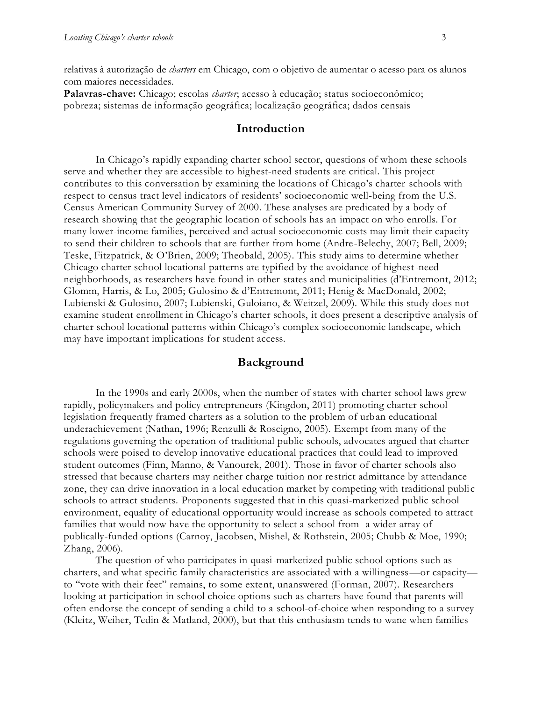relativas à autorização de *charters* em Chicago, com o objetivo de aumentar o acesso para os alunos com maiores necessidades.

**Palavras-chave:** Chicago; escolas *charter*; acesso à educação; status socioeconômico; pobreza; sistemas de informação geográfica; localização geográfica; dados censais

#### **Introduction**

In Chicago's rapidly expanding charter school sector, questions of whom these schools serve and whether they are accessible to highest-need students are critical. This project contributes to this conversation by examining the locations of Chicago's charter schools with respect to census tract level indicators of residents' socioeconomic well-being from the U.S. Census American Community Survey of 2000. These analyses are predicated by a body of research showing that the geographic location of schools has an impact on who enrolls. For many lower-income families, perceived and actual socioeconomic costs may limit their capacity to send their children to schools that are further from home (Andre-Belechy, 2007; Bell, 2009; Teske, Fitzpatrick, & O'Brien, 2009; Theobald, 2005). This study aims to determine whether Chicago charter school locational patterns are typified by the avoidance of highest-need neighborhoods, as researchers have found in other states and municipalities (d'Entremont, 2012; Glomm, Harris, & Lo, 2005; Gulosino & d'Entremont, 2011; Henig & MacDonald, 2002; Lubienski & Gulosino, 2007; Lubienski, Guloiano, & Weitzel, 2009). While this study does not examine student enrollment in Chicago's charter schools, it does present a descriptive analysis of charter school locational patterns within Chicago's complex socioeconomic landscape, which may have important implications for student access.

#### **Background**

In the 1990s and early 2000s, when the number of states with charter school laws grew rapidly, policymakers and policy entrepreneurs (Kingdon, 2011) promoting charter school legislation frequently framed charters as a solution to the problem of urban educational underachievement (Nathan, 1996; Renzulli & Roscigno, 2005). Exempt from many of the regulations governing the operation of traditional public schools, advocates argued that charter schools were poised to develop innovative educational practices that could lead to improved student outcomes (Finn, Manno, & Vanourek, 2001). Those in favor of charter schools also stressed that because charters may neither charge tuition nor restrict admittance by attendance zone, they can drive innovation in a local education market by competing with traditional publi c schools to attract students. Proponents suggested that in this quasi-marketized public school environment, equality of educational opportunity would increase as schools competed to attract families that would now have the opportunity to select a school from a wider array of publically-funded options (Carnoy, Jacobsen, Mishel, & Rothstein, 2005; Chubb & Moe, 1990; Zhang, 2006).

The question of who participates in quasi-marketized public school options such as charters, and what specific family characteristics are associated with a willingness—or capacity to "vote with their feet" remains, to some extent, unanswered (Forman, 2007). Researchers looking at participation in school choice options such as charters have found that parents will often endorse the concept of sending a child to a school-of-choice when responding to a survey (Kleitz, Weiher, Tedin & Matland, 2000), but that this enthusiasm tends to wane when families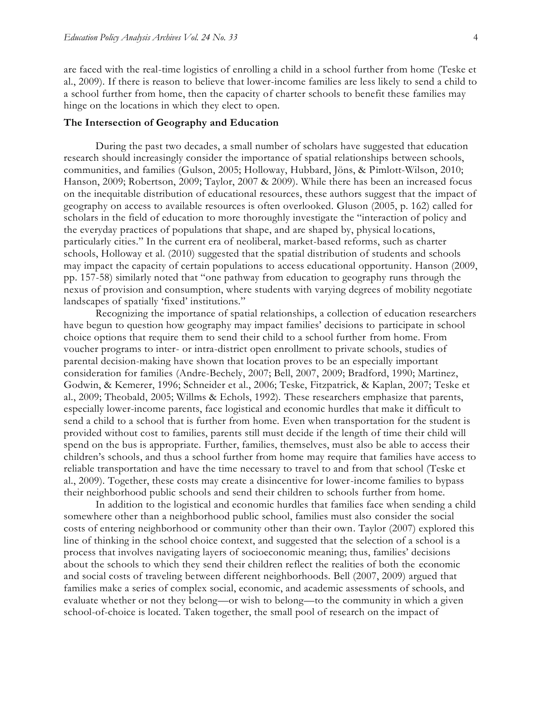are faced with the real-time logistics of enrolling a child in a school further from home (Teske et al., 2009). If there is reason to believe that lower-income families are less likely to send a child to a school further from home, then the capacity of charter schools to benefit these families may hinge on the locations in which they elect to open.

#### **The Intersection of Geography and Education**

During the past two decades, a small number of scholars have suggested that education research should increasingly consider the importance of spatial relationships between schools, communities, and families (Gulson, 2005; Holloway, Hubbard, Jöns, & Pimlott-Wilson, 2010; Hanson, 2009; Robertson, 2009; Taylor, 2007 & 2009). While there has been an increased focus on the inequitable distribution of educational resources, these authors suggest that the impact of geography on access to available resources is often overlooked. Gluson (2005, p. 162) called for scholars in the field of education to more thoroughly investigate the "interaction of policy and the everyday practices of populations that shape, and are shaped by, physical locations, particularly cities." In the current era of neoliberal, market-based reforms, such as charter schools, Holloway et al. (2010) suggested that the spatial distribution of students and schools may impact the capacity of certain populations to access educational opportunity. Hanson (2009, pp. 157-58) similarly noted that "one pathway from education to geography runs through the nexus of provision and consumption, where students with varying degrees of mobility negotiate landscapes of spatially 'fixed' institutions."

Recognizing the importance of spatial relationships, a collection of education researchers have begun to question how geography may impact families' decisions to participate in school choice options that require them to send their child to a school further from home. From voucher programs to inter- or intra-district open enrollment to private schools, studies of parental decision-making have shown that location proves to be an especially important consideration for families (Andre-Bechely, 2007; Bell, 2007, 2009; Bradford, 1990; Martinez, Godwin, & Kemerer, 1996; Schneider et al., 2006; Teske, Fitzpatrick, & Kaplan, 2007; Teske et al., 2009; Theobald, 2005; Willms & Echols, 1992). These researchers emphasize that parents, especially lower-income parents, face logistical and economic hurdles that make it difficult to send a child to a school that is further from home. Even when transportation for the student is provided without cost to families, parents still must decide if the length of time their child will spend on the bus is appropriate. Further, families, themselves, must also be able to access their children's schools, and thus a school further from home may require that families have access to reliable transportation and have the time necessary to travel to and from that school (Teske et al., 2009). Together, these costs may create a disincentive for lower-income families to bypass their neighborhood public schools and send their children to schools further from home.

In addition to the logistical and economic hurdles that families face when sending a child somewhere other than a neighborhood public school, families must also consider the social costs of entering neighborhood or community other than their own. Taylor (2007) explored this line of thinking in the school choice context, and suggested that the selection of a school is a process that involves navigating layers of socioeconomic meaning; thus, families' decisions about the schools to which they send their children reflect the realities of both the economic and social costs of traveling between different neighborhoods. Bell (2007, 2009) argued that families make a series of complex social, economic, and academic assessments of schools, and evaluate whether or not they belong—or wish to belong—to the community in which a given school-of-choice is located. Taken together, the small pool of research on the impact of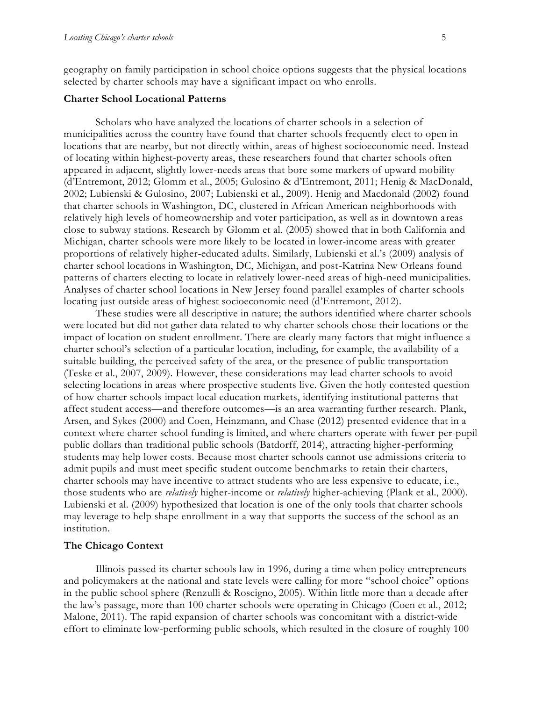geography on family participation in school choice options suggests that the physical locations selected by charter schools may have a significant impact on who enrolls.

#### **Charter School Locational Patterns**

Scholars who have analyzed the locations of charter schools in a selection of municipalities across the country have found that charter schools frequently elect to open in locations that are nearby, but not directly within, areas of highest socioeconomic need. Instead of locating within highest-poverty areas, these researchers found that charter schools often appeared in adjacent, slightly lower-needs areas that bore some markers of upward mobility (d'Entremont, 2012; Glomm et al., 2005; Gulosino & d'Entremont, 2011; Henig & MacDonald, 2002; Lubienski & Gulosino, 2007; Lubienski et al., 2009). Henig and Macdonald (2002) found that charter schools in Washington, DC, clustered in African American neighborhoods with relatively high levels of homeownership and voter participation, as well as in downtown a reas close to subway stations. Research by Glomm et al. (2005) showed that in both California and Michigan, charter schools were more likely to be located in lower-income areas with greater proportions of relatively higher-educated adults. Similarly, Lubienski et al.'s (2009) analysis of charter school locations in Washington, DC, Michigan, and post-Katrina New Orleans found patterns of charters electing to locate in relatively lower-need areas of high-need municipalities. Analyses of charter school locations in New Jersey found parallel examples of charter schools locating just outside areas of highest socioeconomic need (d'Entremont, 2012).

These studies were all descriptive in nature; the authors identified where charter schools were located but did not gather data related to why charter schools chose their locations or the impact of location on student enrollment. There are clearly many factors that might influence a charter school's selection of a particular location, including, for example, the availability of a suitable building, the perceived safety of the area, or the presence of public transportation (Teske et al., 2007, 2009). However, these considerations may lead charter schools to avoid selecting locations in areas where prospective students live. Given the hotly contested question of how charter schools impact local education markets, identifying institutional patterns that affect student access—and therefore outcomes—is an area warranting further research. Plank, Arsen, and Sykes (2000) and Coen, Heinzmann, and Chase (2012) presented evidence that in a context where charter school funding is limited, and where charters operate with fewer per-pupil public dollars than traditional public schools (Batdorff, 2014), attracting higher-performing students may help lower costs. Because most charter schools cannot use admissions criteria to admit pupils and must meet specific student outcome benchmarks to retain their charters, charter schools may have incentive to attract students who are less expensive to educate, i.e., those students who are *relatively* higher-income or *relatively* higher-achieving (Plank et al., 2000). Lubienski et al. (2009) hypothesized that location is one of the only tools that charter schools may leverage to help shape enrollment in a way that supports the success of the school as an institution.

#### **The Chicago Context**

Illinois passed its charter schools law in 1996, during a time when policy entrepreneurs and policymakers at the national and state levels were calling for more "school choice" options in the public school sphere (Renzulli & Roscigno, 2005). Within little more than a decade after the law's passage, more than 100 charter schools were operating in Chicago (Coen et al., 2012; Malone, 2011). The rapid expansion of charter schools was concomitant with a district-wide effort to eliminate low-performing public schools, which resulted in the closure of roughly 100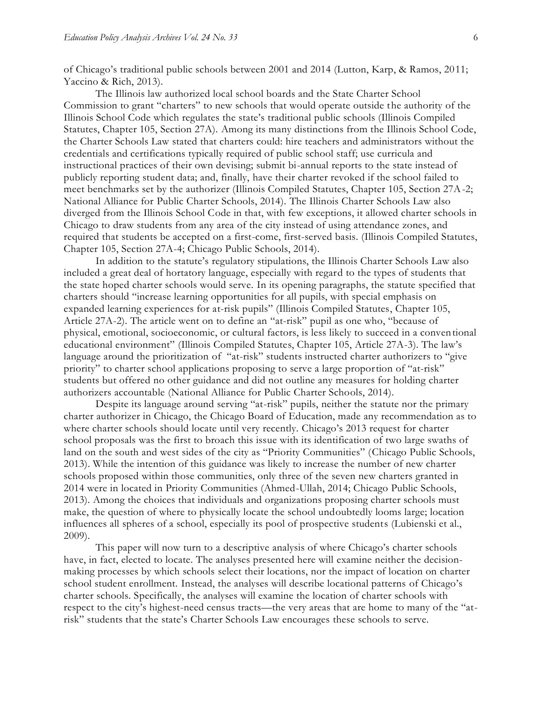of Chicago's traditional public schools between 2001 and 2014 (Lutton, Karp, & Ramos, 2011; Yaccino & Rich, 2013).

The Illinois law authorized local school boards and the State Charter School Commission to grant "charters" to new schools that would operate outside the authority of the Illinois School Code which regulates the state's traditional public schools (Illinois Compiled Statutes, Chapter 105, Section 27A). Among its many distinctions from the Illinois School Code, the Charter Schools Law stated that charters could: hire teachers and administrators without the credentials and certifications typically required of public school staff; use curricula and instructional practices of their own devising; submit bi-annual reports to the state instead of publicly reporting student data; and, finally, have their charter revoked if the school failed to meet benchmarks set by the authorizer (Illinois Compiled Statutes, Chapter 105, Section 27A-2; National Alliance for Public Charter Schools, 2014). The Illinois Charter Schools Law also diverged from the Illinois School Code in that, with few exceptions, it allowed charter schools in Chicago to draw students from any area of the city instead of using attendance zones, and required that students be accepted on a first-come, first-served basis. (Illinois Compiled Statutes, Chapter 105, Section 27A-4; Chicago Public Schools, 2014).

In addition to the statute's regulatory stipulations, the Illinois Charter Schools Law also included a great deal of hortatory language, especially with regard to the types of students that the state hoped charter schools would serve. In its opening paragraphs, the statute specified that charters should "increase learning opportunities for all pupils, with special emphasis on expanded learning experiences for at-risk pupils" (Illinois Compiled Statutes, Chapter 105, Article 27A-2). The article went on to define an "at-risk" pupil as one who, "because of physical, emotional, socioeconomic, or cultural factors, is less likely to succeed in a conventional educational environment" (Illinois Compiled Statutes, Chapter 105, Article 27A-3). The law's language around the prioritization of "at-risk" students instructed charter authorizers to "give priority" to charter school applications proposing to serve a large proportion of "at-risk" students but offered no other guidance and did not outline any measures for holding charter authorizers accountable (National Alliance for Public Charter Schools, 2014).

Despite its language around serving "at-risk" pupils, neither the statute nor the primary charter authorizer in Chicago, the Chicago Board of Education, made any recommendation as to where charter schools should locate until very recently. Chicago's 2013 request for charter school proposals was the first to broach this issue with its identification of two large swaths of land on the south and west sides of the city as "Priority Communities" (Chicago Public Schools, 2013). While the intention of this guidance was likely to increase the number of new charter schools proposed within those communities, only three of the seven new charters granted in 2014 were in located in Priority Communities (Ahmed-Ullah, 2014; Chicago Public Schools, 2013). Among the choices that individuals and organizations proposing charter schools must make, the question of where to physically locate the school undoubtedly looms large; location influences all spheres of a school, especially its pool of prospective students (Lubienski et al., 2009).

This paper will now turn to a descriptive analysis of where Chicago's charter schools have, in fact, elected to locate. The analyses presented here will examine neither the decisionmaking processes by which schools select their locations, nor the impact of location on charter school student enrollment. Instead, the analyses will describe locational patterns of Chicago's charter schools. Specifically, the analyses will examine the location of charter schools with respect to the city's highest-need census tracts—the very areas that are home to many of the "atrisk" students that the state's Charter Schools Law encourages these schools to serve.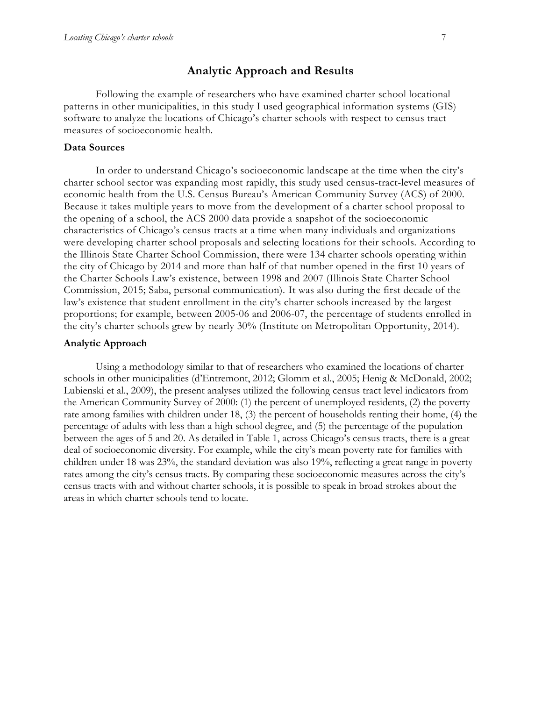#### **Analytic Approach and Results**

Following the example of researchers who have examined charter school locational patterns in other municipalities, in this study I used geographical information systems (GIS) software to analyze the locations of Chicago's charter schools with respect to census tract measures of socioeconomic health.

#### **Data Sources**

In order to understand Chicago's socioeconomic landscape at the time when the city's charter school sector was expanding most rapidly, this study used census-tract-level measures of economic health from the U.S. Census Bureau's American Community Survey (ACS) of 2000. Because it takes multiple years to move from the development of a charter school proposal to the opening of a school, the ACS 2000 data provide a snapshot of the socioeconomic characteristics of Chicago's census tracts at a time when many individuals and organizations were developing charter school proposals and selecting locations for their schools. According to the Illinois State Charter School Commission, there were 134 charter schools operating within the city of Chicago by 2014 and more than half of that number opened in the first 10 years of the Charter Schools Law's existence, between 1998 and 2007 (Illinois State Charter School Commission, 2015; Saba, personal communication). It was also during the first decade of the law's existence that student enrollment in the city's charter schools increased by the largest proportions; for example, between 2005-06 and 2006-07, the percentage of students enrolled in the city's charter schools grew by nearly 30% (Institute on Metropolitan Opportunity, 2014).

#### **Analytic Approach**

Using a methodology similar to that of researchers who examined the locations of charter schools in other municipalities (d'Entremont, 2012; Glomm et al., 2005; Henig & McDonald, 2002; Lubienski et al., 2009), the present analyses utilized the following census tract level indicators from the American Community Survey of 2000: (1) the percent of unemployed residents, (2) the poverty rate among families with children under 18, (3) the percent of households renting their home, (4) the percentage of adults with less than a high school degree, and (5) the percentage of the population between the ages of 5 and 20. As detailed in Table 1, across Chicago's census tracts, there is a great deal of socioeconomic diversity. For example, while the city's mean poverty rate for families with children under 18 was 23%, the standard deviation was also 19%, reflecting a great range in poverty rates among the city's census tracts. By comparing these socioeconomic measures across the city's census tracts with and without charter schools, it is possible to speak in broad strokes about the areas in which charter schools tend to locate.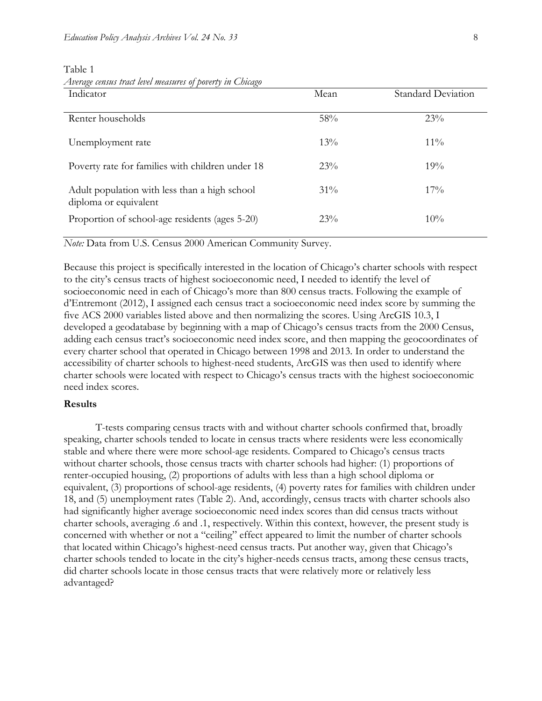| $\leftrightarrow$<br>$\sim$<br>Indicator                               | Mean   | <b>Standard Deviation</b> |
|------------------------------------------------------------------------|--------|---------------------------|
| Renter households                                                      | 58%    | 23%                       |
| Unemployment rate                                                      | $13\%$ | $11\%$                    |
| Poverty rate for families with children under 18                       | 23%    | 19%                       |
| Adult population with less than a high school<br>diploma or equivalent | $31\%$ | $17\%$                    |
| Proportion of school-age residents (ages 5-20)                         | 23%    | 10%                       |

Table 1 *Average census tract level measures of poverty in Chicago*

*Note:* Data from U.S. Census 2000 American Community Survey.

Because this project is specifically interested in the location of Chicago's charter schools with respect to the city's census tracts of highest socioeconomic need, I needed to identify the level of socioeconomic need in each of Chicago's more than 800 census tracts. Following the example of d'Entremont (2012), I assigned each census tract a socioeconomic need index score by summing the five ACS 2000 variables listed above and then normalizing the scores. Using ArcGIS 10.3, I developed a geodatabase by beginning with a map of Chicago's census tracts from the 2000 Census, adding each census tract's socioeconomic need index score, and then mapping the geocoordinates of every charter school that operated in Chicago between 1998 and 2013. In order to understand the accessibility of charter schools to highest-need students, ArcGIS was then used to identify where charter schools were located with respect to Chicago's census tracts with the highest socioeconomic need index scores.

#### **Results**

T-tests comparing census tracts with and without charter schools confirmed that, broadly speaking, charter schools tended to locate in census tracts where residents were less economically stable and where there were more school-age residents. Compared to Chicago's census tracts without charter schools, those census tracts with charter schools had higher: (1) proportions of renter-occupied housing, (2) proportions of adults with less than a high school diploma or equivalent, (3) proportions of school-age residents, (4) poverty rates for families with children under 18, and (5) unemployment rates (Table 2). And, accordingly, census tracts with charter schools also had significantly higher average socioeconomic need index scores than did census tracts without charter schools, averaging .6 and .1, respectively. Within this context, however, the present study is concerned with whether or not a "ceiling" effect appeared to limit the number of charter schools that located within Chicago's highest-need census tracts. Put another way, given that Chicago's charter schools tended to locate in the city's higher-needs census tracts, among these census tracts, did charter schools locate in those census tracts that were relatively more or relatively less advantaged?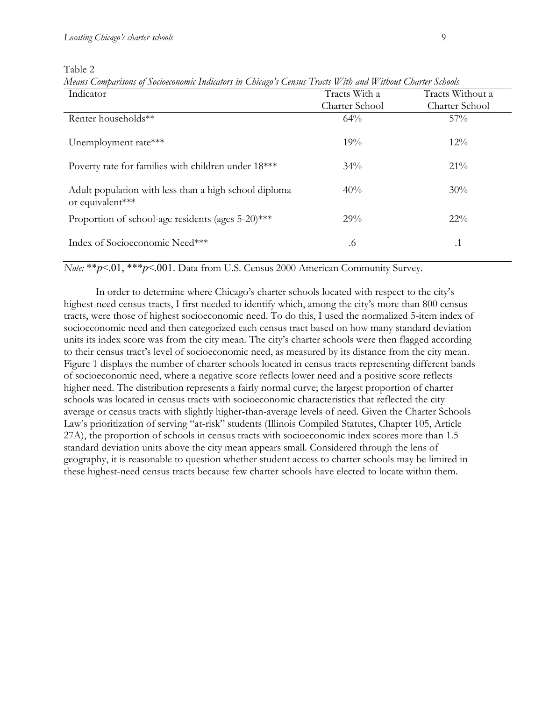Table 2

| Indicator                                                                 | Tracts With a  | Tracts Without a |
|---------------------------------------------------------------------------|----------------|------------------|
|                                                                           | Charter School | Charter School   |
| Renter households**                                                       | 64%            | $57\%$           |
| Unemployment rate***                                                      | 19%            | 12%              |
| Poverty rate for families with children under 18***                       | 34%            | 21%              |
| Adult population with less than a high school diploma<br>or equivalent*** | 40%            | 30%              |
| Proportion of school-age residents (ages 5-20)***                         | 29%            | $22\%$           |
| Index of Socioeconomic Need***                                            | .6             | $\cdot$ 1        |

*Means Comparisons of Socioeconomic Indicators in Chicago's Census Tracts With and Without Charter Schools*

*Note:* \*\**p*<.01, \*\*\**p*<.001. Data from U.S. Census 2000 American Community Survey.

In order to determine where Chicago's charter schools located with respect to the city's highest-need census tracts, I first needed to identify which, among the city's more than 800 census tracts, were those of highest socioeconomic need. To do this, I used the normalized 5-item index of socioeconomic need and then categorized each census tract based on how many standard deviation units its index score was from the city mean. The city's charter schools were then flagged according to their census tract's level of socioeconomic need, as measured by its distance from the city mean. Figure 1 displays the number of charter schools located in census tracts representing different bands of socioeconomic need, where a negative score reflects lower need and a positive score reflects higher need. The distribution represents a fairly normal curve; the largest proportion of charter schools was located in census tracts with socioeconomic characteristics that reflected the city average or census tracts with slightly higher-than-average levels of need. Given the Charter Schools Law's prioritization of serving "at-risk" students (Illinois Compiled Statutes, Chapter 105, Article 27A), the proportion of schools in census tracts with socioeconomic index scores more than 1.5 standard deviation units above the city mean appears small. Considered through the lens of geography, it is reasonable to question whether student access to charter schools may be limited in these highest-need census tracts because few charter schools have elected to locate within them.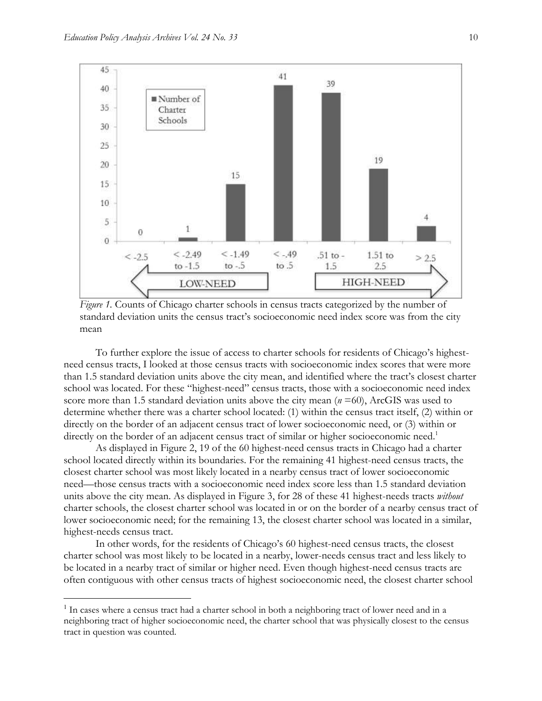$\overline{a}$ 



*Figure 1.* Counts of Chicago charter schools in census tracts categorized by the number of standard deviation units the census tract's socioeconomic need index score was from the city mean

To further explore the issue of access to charter schools for residents of Chicago's highestneed census tracts, I looked at those census tracts with socioeconomic index scores that were more than 1.5 standard deviation units above the city mean, and identified where the tract's closest charter school was located. For these "highest-need" census tracts, those with a socioeconomic need index score more than 1.5 standard deviation units above the city mean (*n* =60), ArcGIS was used to determine whether there was a charter school located: (1) within the census tract itself, (2) within or directly on the border of an adjacent census tract of lower socioeconomic need, or (3) within or directly on the border of an adjacent census tract of similar or higher socioeconomic need.<sup>1</sup>

As displayed in Figure 2, 19 of the 60 highest-need census tracts in Chicago had a charter school located directly within its boundaries. For the remaining 41 highest-need census tracts, the closest charter school was most likely located in a nearby census tract of lower socioeconomic need—those census tracts with a socioeconomic need index score less than 1.5 standard deviation units above the city mean. As displayed in Figure 3, for 28 of these 41 highest-needs tracts *without* charter schools, the closest charter school was located in or on the border of a nearby census tract of lower socioeconomic need; for the remaining 13, the closest charter school was located in a similar, highest-needs census tract.

In other words, for the residents of Chicago's 60 highest-need census tracts, the closest charter school was most likely to be located in a nearby, lower-needs census tract and less likely to be located in a nearby tract of similar or higher need. Even though highest-need census tracts are often contiguous with other census tracts of highest socioeconomic need, the closest charter school

<sup>&</sup>lt;sup>1</sup> In cases where a census tract had a charter school in both a neighboring tract of lower need and in a neighboring tract of higher socioeconomic need, the charter school that was physically closest to the census tract in question was counted.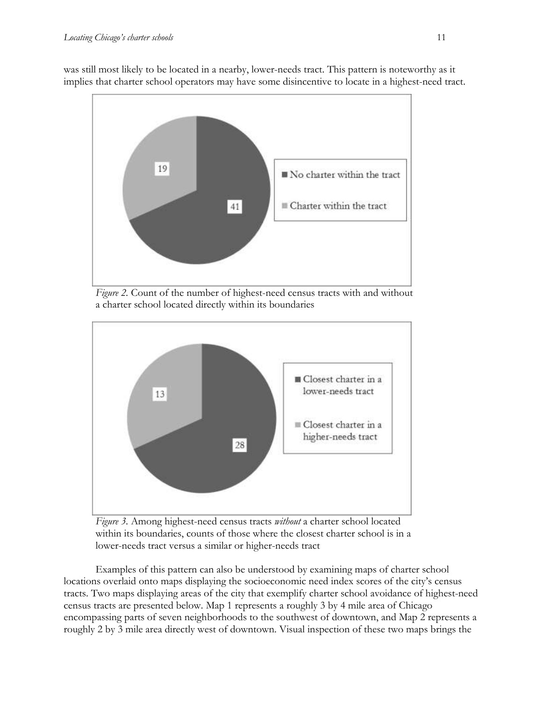was still most likely to be located in a nearby, lower-needs tract. This pattern is noteworthy as it implies that charter school operators may have some disincentive to locate in a highest-need tract.



*Figure 2.* Count of the number of highest-need census tracts with and without a charter school located directly within its boundaries



*Figure 3.* Among highest-need census tracts *without* a charter school located within its boundaries, counts of those where the closest charter school is in a lower-needs tract versus a similar or higher-needs tract

Examples of this pattern can also be understood by examining maps of charter school locations overlaid onto maps displaying the socioeconomic need index scores of the city's census tracts. Two maps displaying areas of the city that exemplify charter school avoidance of highest-need census tracts are presented below. Map 1 represents a roughly 3 by 4 mile area of Chicago encompassing parts of seven neighborhoods to the southwest of downtown, and Map 2 represents a roughly 2 by 3 mile area directly west of downtown. Visual inspection of these two maps brings the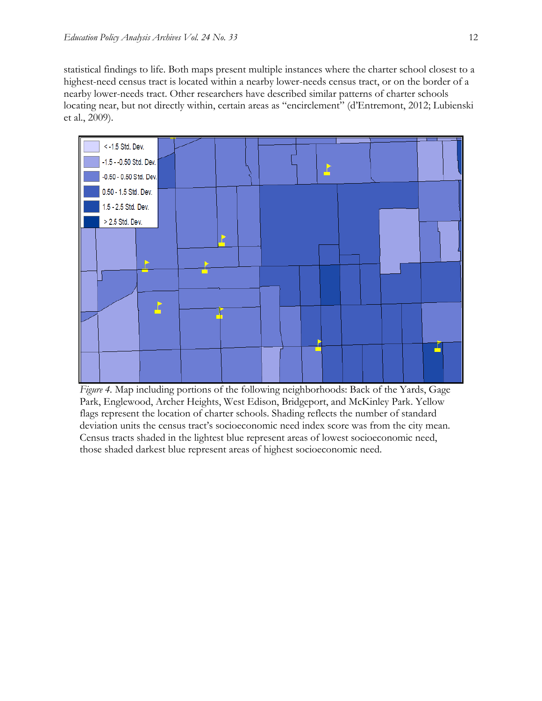statistical findings to life. Both maps present multiple instances where the charter school closest to a highest-need census tract is located within a nearby lower-needs census tract, or on the border of a nearby lower-needs tract. Other researchers have described similar patterns of charter schools locating near, but not directly within, certain areas as "encirclement" (d'Entremont, 2012; Lubienski et al., 2009).



*Figure 4.* Map including portions of the following neighborhoods: Back of the Yards, Gage Park, Englewood, Archer Heights, West Edison, Bridgeport, and McKinley Park. Yellow flags represent the location of charter schools. Shading reflects the number of standard deviation units the census tract's socioeconomic need index score was from the city mean. Census tracts shaded in the lightest blue represent areas of lowest socioeconomic need, those shaded darkest blue represent areas of highest socioeconomic need.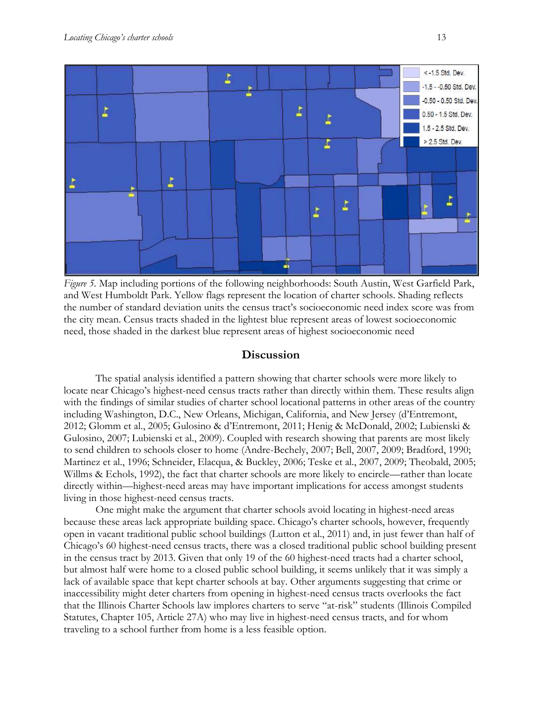

*Figure 5.* Map including portions of the following neighborhoods: South Austin, West Garfield Park, and West Humboldt Park. Yellow flags represent the location of charter schools. Shading reflects the number of standard deviation units the census tract's socioeconomic need index score was from the city mean. Census tracts shaded in the lightest blue represent areas of lowest socioeconomic need, those shaded in the darkest blue represent areas of highest socioeconomic need

## **Discussion**

The spatial analysis identified a pattern showing that charter schools were more likely to locate near Chicago's highest-need census tracts rather than directly within them. These results align with the findings of similar studies of charter school locational patterns in other areas of the country including Washington, D.C., New Orleans, Michigan, California, and New Jersey (d'Entremont, 2012; Glomm et al., 2005; Gulosino & d'Entremont, 2011; Henig & McDonald, 2002; Lubienski & Gulosino, 2007; Lubienski et al., 2009). Coupled with research showing that parents are most likely to send children to schools closer to home (Andre-Bechely, 2007; Bell, 2007, 2009; Bradford, 1990; Martinez et al., 1996; Schneider, Elacqua, & Buckley, 2006; Teske et al., 2007, 2009; Theobald, 2005; Willms & Echols, 1992), the fact that charter schools are more likely to encircle—rather than locate directly within—highest-need areas may have important implications for access amongst students living in those highest-need census tracts.

One might make the argument that charter schools avoid locating in highest-need areas because these areas lack appropriate building space. Chicago's charter schools, however, frequently open in vacant traditional public school buildings (Lutton et al., 2011) and, in just fewer than half of Chicago's 60 highest-need census tracts, there was a closed traditional public school building present in the census tract by 2013. Given that only 19 of the 60 highest-need tracts had a charter school, but almost half were home to a closed public school building, it seems unlikely that it was simply a lack of available space that kept charter schools at bay. Other arguments suggesting that crime or inaccessibility might deter charters from opening in highest-need census tracts overlooks the fact that the Illinois Charter Schools law implores charters to serve "at-risk" students (Illinois Compiled Statutes, Chapter 105, Article 27A) who may live in highest-need census tracts, and for whom traveling to a school further from home is a less feasible option.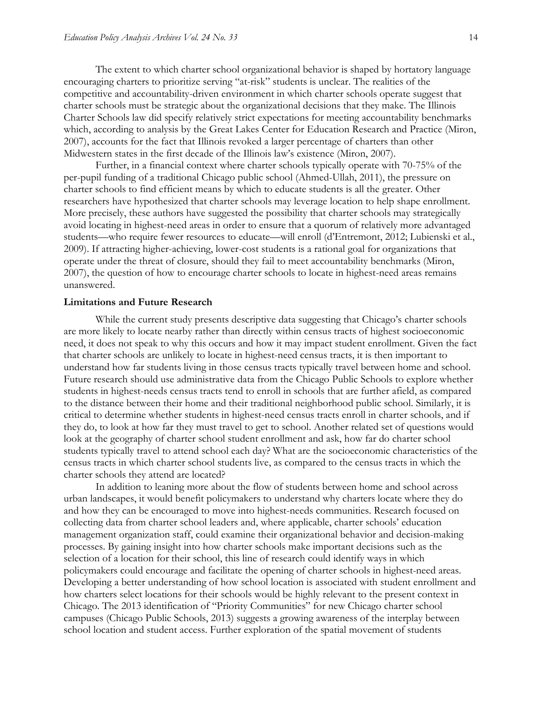The extent to which charter school organizational behavior is shaped by hortatory language encouraging charters to prioritize serving "at-risk" students is unclear. The realities of the competitive and accountability-driven environment in which charter schools operate suggest that charter schools must be strategic about the organizational decisions that they make. The Illinois Charter Schools law did specify relatively strict expectations for meeting accountability benchmarks which, according to analysis by the Great Lakes Center for Education Research and Practice (Miron, 2007), accounts for the fact that Illinois revoked a larger percentage of charters than other Midwestern states in the first decade of the Illinois law's existence (Miron, 2007).

Further, in a financial context where charter schools typically operate with 70-75% of the per-pupil funding of a traditional Chicago public school (Ahmed-Ullah, 2011), the pressure on charter schools to find efficient means by which to educate students is all the greater. Other researchers have hypothesized that charter schools may leverage location to help shape enrollment. More precisely, these authors have suggested the possibility that charter schools may strategically avoid locating in highest-need areas in order to ensure that a quorum of relatively more advantaged students—who require fewer resources to educate—will enroll (d'Entremont, 2012; Lubienski et al., 2009). If attracting higher-achieving, lower-cost students is a rational goal for organizations that operate under the threat of closure, should they fail to meet accountability benchmarks (Miron, 2007), the question of how to encourage charter schools to locate in highest-need areas remains unanswered.

#### **Limitations and Future Research**

While the current study presents descriptive data suggesting that Chicago's charter schools are more likely to locate nearby rather than directly within census tracts of highest socioeconomic need, it does not speak to why this occurs and how it may impact student enrollment. Given the fact that charter schools are unlikely to locate in highest-need census tracts, it is then important to understand how far students living in those census tracts typically travel between home and school. Future research should use administrative data from the Chicago Public Schools to explore whether students in highest-needs census tracts tend to enroll in schools that are further afield, as compared to the distance between their home and their traditional neighborhood public school. Similarly, it is critical to determine whether students in highest-need census tracts enroll in charter schools, and if they do, to look at how far they must travel to get to school. Another related set of questions would look at the geography of charter school student enrollment and ask, how far do charter school students typically travel to attend school each day? What are the socioeconomic characteristics of the census tracts in which charter school students live, as compared to the census tracts in which the charter schools they attend are located?

In addition to leaning more about the flow of students between home and school across urban landscapes, it would benefit policymakers to understand why charters locate where they do and how they can be encouraged to move into highest-needs communities. Research focused on collecting data from charter school leaders and, where applicable, charter schools' education management organization staff, could examine their organizational behavior and decision-making processes. By gaining insight into how charter schools make important decisions such as the selection of a location for their school, this line of research could identify ways in which policymakers could encourage and facilitate the opening of charter schools in highest-need areas. Developing a better understanding of how school location is associated with student enrollment and how charters select locations for their schools would be highly relevant to the present context in Chicago. The 2013 identification of "Priority Communities" for new Chicago charter school campuses (Chicago Public Schools, 2013) suggests a growing awareness of the interplay between school location and student access. Further exploration of the spatial movement of students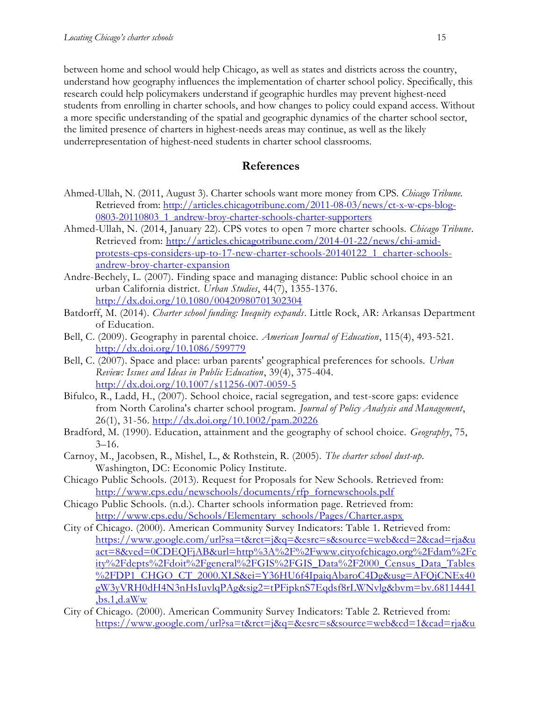between home and school would help Chicago, as well as states and districts across the country, understand how geography influences the implementation of charter school policy. Specifically, this research could help policymakers understand if geographic hurdles may prevent highest-need students from enrolling in charter schools, and how changes to policy could expand access. Without a more specific understanding of the spatial and geographic dynamics of the charter school sector, the limited presence of charters in highest-needs areas may continue, as well as the likely underrepresentation of highest-need students in charter school classrooms.

### **References**

- Ahmed-Ullah, N. (2011, August 3). Charter schools want more money from CPS. *Chicago Tribune.* Retrieved from: [http://articles.chicagotribune.com/2011-08-03/news/ct-x-w-cps-blog-](http://articles.chicagotribune.com/2011-08-03/news/ct-x-w-cps-blog-0803-20110803_1_andrew-broy-charter-schools-charter-supporters)0803-20110803\_1\_andrew-broy-charter-schools-charter-supporters
- Ahmed-Ullah, N. (2014, January 22). CPS votes to open 7 more charter schools. *Chicago Tribune*. Retrieved from: [http://articles.chicagotribune.com/2014-01-22/news/chi-amid](http://articles.chicagotribune.com/2014-01-22/news/chi-amid-protests-cps-considers-up-to-17-new-charter-schools-20140122_1_charter-schools-andrew-broy-charter-expansion)[protests-cps-considers-up-to-17-new-charter-schools-20140122\\_1\\_charter-schools](http://articles.chicagotribune.com/2014-01-22/news/chi-amid-protests-cps-considers-up-to-17-new-charter-schools-20140122_1_charter-schools-andrew-broy-charter-expansion)[andrew-broy-charter-expansion](http://articles.chicagotribune.com/2014-01-22/news/chi-amid-protests-cps-considers-up-to-17-new-charter-schools-20140122_1_charter-schools-andrew-broy-charter-expansion)
- Andre-Bechely, L. (2007). Finding space and managing distance: Public school choice in an urban California district. *Urban Studies*, 44(7), 1355-1376. <http://dx.doi.org/10.1080/00420980701302304>
- Batdorff, M. (2014). *Charter school funding: Inequity expands*. Little Rock, AR: Arkansas Department of Education.
- Bell, C. (2009). Geography in parental choice. *American Journal of Education*, 115(4), 493-521. <http://dx.doi.org/10.1086/599779>
- Bell, C. (2007). Space and place: urban parents' geographical preferences for schools. *Urban Review: Issues and Ideas in Public Education*, 39(4), 375-404. <http://dx.doi.org/10.1007/s11256-007-0059-5>
- Bifulco, R., Ladd, H., (2007). School choice, racial segregation, and test-score gaps: evidence from North Carolina's charter school program. *Journal of Policy Analysis and Management*, 26(1), 31-56. <http://dx.doi.org/10.1002/pam.20226>
- Bradford, M. (1990). Education, attainment and the geography of school choice. *Geography*, 75,  $3-16.$
- Carnoy, M., Jacobsen, R., Mishel, L., & Rothstein, R. (2005). *The charter school dust-up*. Washington, DC: Economic Policy Institute.
- Chicago Public Schools. (2013). Request for Proposals for New Schools. Retrieved from: [http://www.cps.edu/newschools/documents/rfp\\_fornewschools.pdf](http://www.cps.edu/newschools/documents/rfp_fornewschools.pdf)
- Chicago Public Schools. (n.d.). Charter schools information page. Retrieved from: [http://www.cps.edu/Schools/Elementary\\_schools/Pages/Charter.aspx](http://www.cps.edu/Schools/Elementary_schools/Pages/Charter.aspx)
- City of Chicago. (2000). American Community Survey Indicators: Table 1. Retrieved from: [https://www.google.com/url?sa=t&rct=j&q=&esrc=s&source=web&cd=2&cad=rja&u](https://www.google.com/url?sa=t&rct=j&q=&esrc=s&source=web&cd=2&cad=rja&uact=8&ved=0CDEQFjAB&url=http%3A%2F%2Fwww.cityofchicago.org%2Fdam%2Fcity%2Fdepts%2Fdoit%2Fgeneral%2FGIS%2FGIS_Data%2F2000_Census_Data_Tables%2FDP1_CHGO_CT_2000.XLS&ei=Y36HU6f4IpaiqAbaroC4Dg&usg=AFQjCNEx40gW3yVRH0dH4N3nHsIuvlqPAg&sig2=tPFipknS7Eqdsf8rLWNvlg&bvm=bv.68114441,bs.1,d.aWw) [act=8&ved=0CDEQFjAB&url=http%3A%2F%2Fwww.cityofchicago.org%2Fdam%2Fc](https://www.google.com/url?sa=t&rct=j&q=&esrc=s&source=web&cd=2&cad=rja&uact=8&ved=0CDEQFjAB&url=http%3A%2F%2Fwww.cityofchicago.org%2Fdam%2Fcity%2Fdepts%2Fdoit%2Fgeneral%2FGIS%2FGIS_Data%2F2000_Census_Data_Tables%2FDP1_CHGO_CT_2000.XLS&ei=Y36HU6f4IpaiqAbaroC4Dg&usg=AFQjCNEx40gW3yVRH0dH4N3nHsIuvlqPAg&sig2=tPFipknS7Eqdsf8rLWNvlg&bvm=bv.68114441,bs.1,d.aWw) [ity%2Fdepts%2Fdoit%2Fgeneral%2FGIS%2FGIS\\_Data%2F2000\\_Census\\_Data\\_Tables](https://www.google.com/url?sa=t&rct=j&q=&esrc=s&source=web&cd=2&cad=rja&uact=8&ved=0CDEQFjAB&url=http%3A%2F%2Fwww.cityofchicago.org%2Fdam%2Fcity%2Fdepts%2Fdoit%2Fgeneral%2FGIS%2FGIS_Data%2F2000_Census_Data_Tables%2FDP1_CHGO_CT_2000.XLS&ei=Y36HU6f4IpaiqAbaroC4Dg&usg=AFQjCNEx40gW3yVRH0dH4N3nHsIuvlqPAg&sig2=tPFipknS7Eqdsf8rLWNvlg&bvm=bv.68114441,bs.1,d.aWw) [%2FDP1\\_CHGO\\_CT\\_2000.XLS&ei=Y36HU6f4IpaiqAbaroC4Dg&usg=AFQjCNEx40](https://www.google.com/url?sa=t&rct=j&q=&esrc=s&source=web&cd=2&cad=rja&uact=8&ved=0CDEQFjAB&url=http%3A%2F%2Fwww.cityofchicago.org%2Fdam%2Fcity%2Fdepts%2Fdoit%2Fgeneral%2FGIS%2FGIS_Data%2F2000_Census_Data_Tables%2FDP1_CHGO_CT_2000.XLS&ei=Y36HU6f4IpaiqAbaroC4Dg&usg=AFQjCNEx40gW3yVRH0dH4N3nHsIuvlqPAg&sig2=tPFipknS7Eqdsf8rLWNvlg&bvm=bv.68114441,bs.1,d.aWw) [gW3yVRH0dH4N3nHsIuvlqPAg&sig2=tPFipknS7Eqdsf8rLWNvlg&bvm=bv.68114441](https://www.google.com/url?sa=t&rct=j&q=&esrc=s&source=web&cd=2&cad=rja&uact=8&ved=0CDEQFjAB&url=http%3A%2F%2Fwww.cityofchicago.org%2Fdam%2Fcity%2Fdepts%2Fdoit%2Fgeneral%2FGIS%2FGIS_Data%2F2000_Census_Data_Tables%2FDP1_CHGO_CT_2000.XLS&ei=Y36HU6f4IpaiqAbaroC4Dg&usg=AFQjCNEx40gW3yVRH0dH4N3nHsIuvlqPAg&sig2=tPFipknS7Eqdsf8rLWNvlg&bvm=bv.68114441,bs.1,d.aWw)  $,bs.1,d.aWw$
- City of Chicago. (2000). American Community Survey Indicators: Table 2. Retrieved from: [https://www.google.com/url?sa=t&rct=j&q=&esrc=s&source=web&cd=1&cad=rja&u](https://www.google.com/url?sa=t&rct=j&q=&esrc=s&source=web&cd=1&cad=rja&uact=8&ved=0CCkQFjAA&url=http%3A%2F%2Fwww.cityofchicago.org%2Fdam%2Fcity%2Fdepts%2Fdoit%2Fgeneral%2FGIS%2FGIS_Data%2F2000_Census_Data_Tables%2FDP2_CHGO_CT_2000.XLS&ei=FX6HU6OjJcmCqgbNyoKIDw&usg=AFQjCNHy9xvleY5GFQ83fzYmIVeSImW0ew&sig2=Reloza7EtS0wldsdOiT7wg&bvm=bv.68114441,bs.1,d.aWw)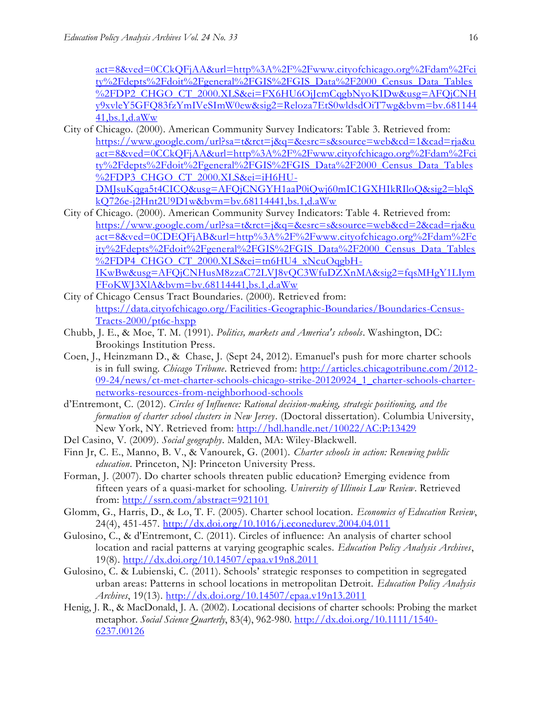[act=8&ved=0CCkQFjAA&url=http%3A%2F%2Fwww.cityofchicago.org%2Fdam%2Fci](https://www.google.com/url?sa=t&rct=j&q=&esrc=s&source=web&cd=1&cad=rja&uact=8&ved=0CCkQFjAA&url=http%3A%2F%2Fwww.cityofchicago.org%2Fdam%2Fcity%2Fdepts%2Fdoit%2Fgeneral%2FGIS%2FGIS_Data%2F2000_Census_Data_Tables%2FDP2_CHGO_CT_2000.XLS&ei=FX6HU6OjJcmCqgbNyoKIDw&usg=AFQjCNHy9xvleY5GFQ83fzYmIVeSImW0ew&sig2=Reloza7EtS0wldsdOiT7wg&bvm=bv.68114441,bs.1,d.aWw) [ty%2Fdepts%2Fdoit%2Fgeneral%2FGIS%2FGIS\\_Data%2F2000\\_Census\\_Data\\_Tables](https://www.google.com/url?sa=t&rct=j&q=&esrc=s&source=web&cd=1&cad=rja&uact=8&ved=0CCkQFjAA&url=http%3A%2F%2Fwww.cityofchicago.org%2Fdam%2Fcity%2Fdepts%2Fdoit%2Fgeneral%2FGIS%2FGIS_Data%2F2000_Census_Data_Tables%2FDP2_CHGO_CT_2000.XLS&ei=FX6HU6OjJcmCqgbNyoKIDw&usg=AFQjCNHy9xvleY5GFQ83fzYmIVeSImW0ew&sig2=Reloza7EtS0wldsdOiT7wg&bvm=bv.68114441,bs.1,d.aWw) [%2FDP2\\_CHGO\\_CT\\_2000.XLS&ei=FX6HU6OjJcmCqgbNyoKIDw&usg=AFQjCNH](https://www.google.com/url?sa=t&rct=j&q=&esrc=s&source=web&cd=1&cad=rja&uact=8&ved=0CCkQFjAA&url=http%3A%2F%2Fwww.cityofchicago.org%2Fdam%2Fcity%2Fdepts%2Fdoit%2Fgeneral%2FGIS%2FGIS_Data%2F2000_Census_Data_Tables%2FDP2_CHGO_CT_2000.XLS&ei=FX6HU6OjJcmCqgbNyoKIDw&usg=AFQjCNHy9xvleY5GFQ83fzYmIVeSImW0ew&sig2=Reloza7EtS0wldsdOiT7wg&bvm=bv.68114441,bs.1,d.aWw) [y9xvleY5GFQ83fzYmIVeSImW0ew&sig2=Reloza7EtS0wldsdOiT7wg&bvm=bv.681144](https://www.google.com/url?sa=t&rct=j&q=&esrc=s&source=web&cd=1&cad=rja&uact=8&ved=0CCkQFjAA&url=http%3A%2F%2Fwww.cityofchicago.org%2Fdam%2Fcity%2Fdepts%2Fdoit%2Fgeneral%2FGIS%2FGIS_Data%2F2000_Census_Data_Tables%2FDP2_CHGO_CT_2000.XLS&ei=FX6HU6OjJcmCqgbNyoKIDw&usg=AFQjCNHy9xvleY5GFQ83fzYmIVeSImW0ew&sig2=Reloza7EtS0wldsdOiT7wg&bvm=bv.68114441,bs.1,d.aWw) [41,bs.1,d.aWw](https://www.google.com/url?sa=t&rct=j&q=&esrc=s&source=web&cd=1&cad=rja&uact=8&ved=0CCkQFjAA&url=http%3A%2F%2Fwww.cityofchicago.org%2Fdam%2Fcity%2Fdepts%2Fdoit%2Fgeneral%2FGIS%2FGIS_Data%2F2000_Census_Data_Tables%2FDP2_CHGO_CT_2000.XLS&ei=FX6HU6OjJcmCqgbNyoKIDw&usg=AFQjCNHy9xvleY5GFQ83fzYmIVeSImW0ew&sig2=Reloza7EtS0wldsdOiT7wg&bvm=bv.68114441,bs.1,d.aWw)

- City of Chicago. (2000). American Community Survey Indicators: Table 3. Retrieved from: [https://www.google.com/url?sa=t&rct=j&q=&esrc=s&source=web&cd=1&cad=rja&u](https://www.google.com/url?sa=t&rct=j&q=&esrc=s&source=web&cd=1&cad=rja&uact=8&ved=0CCkQFjAA&url=http%3A%2F%2Fwww.cityofchicago.org%2Fdam%2Fcity%2Fdepts%2Fdoit%2Fgeneral%2FGIS%2FGIS_Data%2F2000_Census_Data_Tables%2FDP3_CHGO_CT_2000.XLS&ei=iH6HU-DMJsuKqga5t4CICQ&usg=AFQjCNGYH1aaP0iQwj60mIC1GXHIkRIloQ&sig2=blqSkQ726e-j2Hnt2U9D1w&bvm=bv.68114441,bs.1,d.aWw) [act=8&ved=0CCkQFjAA&url=http%3A%2F%2Fwww.cityofchicago.org%2Fdam%2Fci](https://www.google.com/url?sa=t&rct=j&q=&esrc=s&source=web&cd=1&cad=rja&uact=8&ved=0CCkQFjAA&url=http%3A%2F%2Fwww.cityofchicago.org%2Fdam%2Fcity%2Fdepts%2Fdoit%2Fgeneral%2FGIS%2FGIS_Data%2F2000_Census_Data_Tables%2FDP3_CHGO_CT_2000.XLS&ei=iH6HU-DMJsuKqga5t4CICQ&usg=AFQjCNGYH1aaP0iQwj60mIC1GXHIkRIloQ&sig2=blqSkQ726e-j2Hnt2U9D1w&bvm=bv.68114441,bs.1,d.aWw) [ty%2Fdepts%2Fdoit%2Fgeneral%2FGIS%2FGIS\\_Data%2F2000\\_Census\\_Data\\_Tables](https://www.google.com/url?sa=t&rct=j&q=&esrc=s&source=web&cd=1&cad=rja&uact=8&ved=0CCkQFjAA&url=http%3A%2F%2Fwww.cityofchicago.org%2Fdam%2Fcity%2Fdepts%2Fdoit%2Fgeneral%2FGIS%2FGIS_Data%2F2000_Census_Data_Tables%2FDP3_CHGO_CT_2000.XLS&ei=iH6HU-DMJsuKqga5t4CICQ&usg=AFQjCNGYH1aaP0iQwj60mIC1GXHIkRIloQ&sig2=blqSkQ726e-j2Hnt2U9D1w&bvm=bv.68114441,bs.1,d.aWw) [%2FDP3\\_CHGO\\_CT\\_2000.XLS&ei=iH6HU-](https://www.google.com/url?sa=t&rct=j&q=&esrc=s&source=web&cd=1&cad=rja&uact=8&ved=0CCkQFjAA&url=http%3A%2F%2Fwww.cityofchicago.org%2Fdam%2Fcity%2Fdepts%2Fdoit%2Fgeneral%2FGIS%2FGIS_Data%2F2000_Census_Data_Tables%2FDP3_CHGO_CT_2000.XLS&ei=iH6HU-DMJsuKqga5t4CICQ&usg=AFQjCNGYH1aaP0iQwj60mIC1GXHIkRIloQ&sig2=blqSkQ726e-j2Hnt2U9D1w&bvm=bv.68114441,bs.1,d.aWw)[DMJsuKqga5t4CICQ&usg=AFQjCNGYH1aaP0iQwj60mIC1GXHIkRIloQ&sig2=blqS](https://www.google.com/url?sa=t&rct=j&q=&esrc=s&source=web&cd=1&cad=rja&uact=8&ved=0CCkQFjAA&url=http%3A%2F%2Fwww.cityofchicago.org%2Fdam%2Fcity%2Fdepts%2Fdoit%2Fgeneral%2FGIS%2FGIS_Data%2F2000_Census_Data_Tables%2FDP3_CHGO_CT_2000.XLS&ei=iH6HU-DMJsuKqga5t4CICQ&usg=AFQjCNGYH1aaP0iQwj60mIC1GXHIkRIloQ&sig2=blqSkQ726e-j2Hnt2U9D1w&bvm=bv.68114441,bs.1,d.aWw) [kQ726e-j2Hnt2U9D1w&bvm=bv.68114441,bs.1,d.aWw](https://www.google.com/url?sa=t&rct=j&q=&esrc=s&source=web&cd=1&cad=rja&uact=8&ved=0CCkQFjAA&url=http%3A%2F%2Fwww.cityofchicago.org%2Fdam%2Fcity%2Fdepts%2Fdoit%2Fgeneral%2FGIS%2FGIS_Data%2F2000_Census_Data_Tables%2FDP3_CHGO_CT_2000.XLS&ei=iH6HU-DMJsuKqga5t4CICQ&usg=AFQjCNGYH1aaP0iQwj60mIC1GXHIkRIloQ&sig2=blqSkQ726e-j2Hnt2U9D1w&bvm=bv.68114441,bs.1,d.aWw)
- City of Chicago. (2000). American Community Survey Indicators: Table 4. Retrieved from: [https://www.google.com/url?sa=t&rct=j&q=&esrc=s&source=web&cd=2&cad=rja&u](https://www.google.com/url?sa=t&rct=j&q=&esrc=s&source=web&cd=2&cad=rja&uact=8&ved=0CDEQFjAB&url=http%3A%2F%2Fwww.cityofchicago.org%2Fdam%2Fcity%2Fdepts%2Fdoit%2Fgeneral%2FGIS%2FGIS_Data%2F2000_Census_Data_Tables%2FDP4_CHGO_CT_2000.XLS&ei=tn6HU4_xNcuOqgbH-IKwBw&usg=AFQjCNHusM8zzaC72LVJ8vQC3WfuDZXnMA&sig2=fqsMHgY1LIymFFoKWJ3XlA&bvm=bv.68114441,bs.1,d.aWw) [act=8&ved=0CDEQFjAB&url=http%3A%2F%2Fwww.cityofchicago.org%2Fdam%2Fc](https://www.google.com/url?sa=t&rct=j&q=&esrc=s&source=web&cd=2&cad=rja&uact=8&ved=0CDEQFjAB&url=http%3A%2F%2Fwww.cityofchicago.org%2Fdam%2Fcity%2Fdepts%2Fdoit%2Fgeneral%2FGIS%2FGIS_Data%2F2000_Census_Data_Tables%2FDP4_CHGO_CT_2000.XLS&ei=tn6HU4_xNcuOqgbH-IKwBw&usg=AFQjCNHusM8zzaC72LVJ8vQC3WfuDZXnMA&sig2=fqsMHgY1LIymFFoKWJ3XlA&bvm=bv.68114441,bs.1,d.aWw) [ity%2Fdepts%2Fdoit%2Fgeneral%2FGIS%2FGIS\\_Data%2F2000\\_Census\\_Data\\_Tables](https://www.google.com/url?sa=t&rct=j&q=&esrc=s&source=web&cd=2&cad=rja&uact=8&ved=0CDEQFjAB&url=http%3A%2F%2Fwww.cityofchicago.org%2Fdam%2Fcity%2Fdepts%2Fdoit%2Fgeneral%2FGIS%2FGIS_Data%2F2000_Census_Data_Tables%2FDP4_CHGO_CT_2000.XLS&ei=tn6HU4_xNcuOqgbH-IKwBw&usg=AFQjCNHusM8zzaC72LVJ8vQC3WfuDZXnMA&sig2=fqsMHgY1LIymFFoKWJ3XlA&bvm=bv.68114441,bs.1,d.aWw) [%2FDP4\\_CHGO\\_CT\\_2000.XLS&ei=tn6HU4\\_xNcuOqgbH-](https://www.google.com/url?sa=t&rct=j&q=&esrc=s&source=web&cd=2&cad=rja&uact=8&ved=0CDEQFjAB&url=http%3A%2F%2Fwww.cityofchicago.org%2Fdam%2Fcity%2Fdepts%2Fdoit%2Fgeneral%2FGIS%2FGIS_Data%2F2000_Census_Data_Tables%2FDP4_CHGO_CT_2000.XLS&ei=tn6HU4_xNcuOqgbH-IKwBw&usg=AFQjCNHusM8zzaC72LVJ8vQC3WfuDZXnMA&sig2=fqsMHgY1LIymFFoKWJ3XlA&bvm=bv.68114441,bs.1,d.aWw)[IKwBw&usg=AFQjCNHusM8zzaC72LVJ8vQC3WfuDZXnMA&sig2=fqsMHgY1LIym](https://www.google.com/url?sa=t&rct=j&q=&esrc=s&source=web&cd=2&cad=rja&uact=8&ved=0CDEQFjAB&url=http%3A%2F%2Fwww.cityofchicago.org%2Fdam%2Fcity%2Fdepts%2Fdoit%2Fgeneral%2FGIS%2FGIS_Data%2F2000_Census_Data_Tables%2FDP4_CHGO_CT_2000.XLS&ei=tn6HU4_xNcuOqgbH-IKwBw&usg=AFQjCNHusM8zzaC72LVJ8vQC3WfuDZXnMA&sig2=fqsMHgY1LIymFFoKWJ3XlA&bvm=bv.68114441,bs.1,d.aWw) [FFoKWJ3XlA&bvm=bv.68114441,bs.1,d.aWw](https://www.google.com/url?sa=t&rct=j&q=&esrc=s&source=web&cd=2&cad=rja&uact=8&ved=0CDEQFjAB&url=http%3A%2F%2Fwww.cityofchicago.org%2Fdam%2Fcity%2Fdepts%2Fdoit%2Fgeneral%2FGIS%2FGIS_Data%2F2000_Census_Data_Tables%2FDP4_CHGO_CT_2000.XLS&ei=tn6HU4_xNcuOqgbH-IKwBw&usg=AFQjCNHusM8zzaC72LVJ8vQC3WfuDZXnMA&sig2=fqsMHgY1LIymFFoKWJ3XlA&bvm=bv.68114441,bs.1,d.aWw)
- City of Chicago Census Tract Boundaries. (2000). Retrieved from: [https://data.cityofchicago.org/Facilities-Geographic-Boundaries/Boundaries-Census-](https://data.cityofchicago.org/Facilities-Geographic-Boundaries/Boundaries-Census-Tracts-2000/pt6c-hxpp)[Tracts-2000/pt6c-hxpp](https://data.cityofchicago.org/Facilities-Geographic-Boundaries/Boundaries-Census-Tracts-2000/pt6c-hxpp)
- Chubb, J. E., & Moe, T. M. (1991). *Politics, markets and America's schools*. Washington, DC: Brookings Institution Press.
- Coen, J., Heinzmann D., & Chase, J. (Sept 24, 2012). Emanuel's push for more charter schools is in full swing. *Chicago Tribune*. Retrieved from: [http://articles.chicagotribune.com/2012-](http://articles.chicagotribune.com/2012-09-24/news/ct-met-charter-schools-chicago-strike-20120924_1_charter-schools-charter-networks-resources-from-neighborhood-schools) [09-24/news/ct-met-charter-schools-chicago-strike-20120924\\_1\\_charter-schools-charter](http://articles.chicagotribune.com/2012-09-24/news/ct-met-charter-schools-chicago-strike-20120924_1_charter-schools-charter-networks-resources-from-neighborhood-schools)[networks-resources-from-neighborhood-schools](http://articles.chicagotribune.com/2012-09-24/news/ct-met-charter-schools-chicago-strike-20120924_1_charter-schools-charter-networks-resources-from-neighborhood-schools)
- d'Entremont, C. (2012). *Circles of Influence: Rational decision-making, strategic positioning, and the formation of charter school clusters in New Jersey*. (Doctoral dissertation). Columbia University, New York, NY. Retrieved from:<http://hdl.handle.net/10022/AC:P:13429>
- Del Casino, V. (2009). *Social geography*. Malden, MA: Wiley-Blackwell.
- Finn Jr, C. E., Manno, B. V., & Vanourek, G. (2001). *Charter schools in action: Renewing public education*. Princeton, NJ: Princeton University Press.
- Forman, J. (2007). Do charter schools threaten public education? Emerging evidence from fifteen years of a quasi-market for schooling. *University of Illinois Law Review*. Retrieved from:<http://ssrn.com/abstract=921101>
- Glomm, G., Harris, D., & Lo, T. F. (2005). Charter school location. *Economics of Education Review*, 24(4), 451-457. <http://dx.doi.org/10.1016/j.econedurev.2004.04.011>
- Gulosino, C., & d'Entremont, C. (2011). Circles of influence: An analysis of charter school location and racial patterns at varying geographic scales. *Education Policy Analysis Archives*, 19(8). <http://dx.doi.org/10.14507/epaa.v19n8.2011>
- Gulosino, C. & Lubienski, C. (2011). Schools' strategic responses to competition in segregated urban areas: Patterns in school locations in metropolitan Detroit. *Education Policy Analysis Archives*, 19(13).<http://dx.doi.org/10.14507/epaa.v19n13.2011>
- Henig, J. R., & MacDonald, J. A. (2002). Locational decisions of charter schools: Probing the market metaphor. *Social Science Quarterly*, 83(4), 962-980. [http://dx.doi.org/10.1111/1540-](http://dx.doi.org/10.1111/1540-6237.00126) [6237.00126](http://dx.doi.org/10.1111/1540-6237.00126)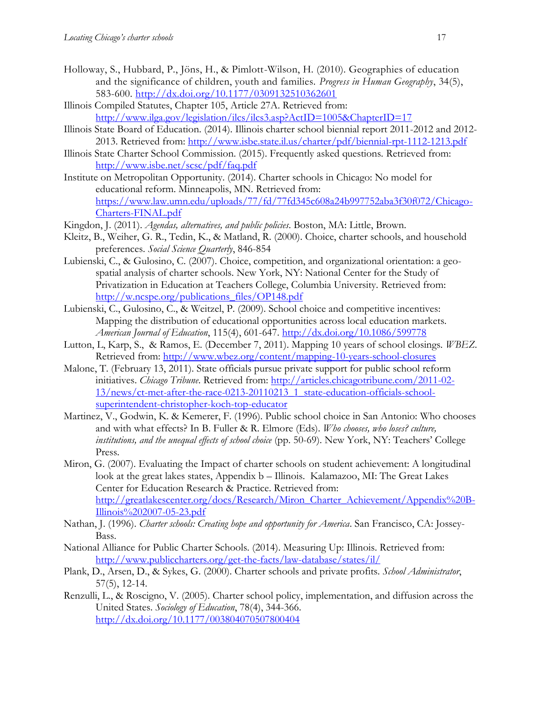- Holloway, S., Hubbard, P., Jöns, H., & Pimlott-Wilson, H. (2010). Geographies of education and the significance of children, youth and families. *Progress in Human Geography*, 34(5), 583-600. <http://dx.doi.org/10.1177/0309132510362601>
- Illinois Compiled Statutes, Chapter 105, Article 27A. Retrieved from: <http://www.ilga.gov/legislation/ilcs/ilcs3.asp?ActID=1005&ChapterID=17>
- Illinois State Board of Education. (2014). Illinois charter school biennial report 2011-2012 and 2012- 2013. Retrieved from:<http://www.isbe.state.il.us/charter/pdf/biennial-rpt-1112-1213.pdf>
- Illinois State Charter School Commission. (2015). Frequently asked questions. Retrieved from: <http://www.isbe.net/scsc/pdf/faq.pdf>
- Institute on Metropolitan Opportunity. (2014). Charter schools in Chicago: No model for educational reform. Minneapolis, MN. Retrieved from: [https://www.law.umn.edu/uploads/77/fd/77fd345c608a24b997752aba3f30f072/Chicago-](https://www.law.umn.edu/uploads/77/fd/77fd345c608a24b997752aba3f30f072/Chicago-Charters-FINAL.pdf)[Charters-FINAL.pdf](https://www.law.umn.edu/uploads/77/fd/77fd345c608a24b997752aba3f30f072/Chicago-Charters-FINAL.pdf)
- Kingdon, J. (2011). *Agendas, alternatives, and public policies*. Boston, MA: Little, Brown.
- Kleitz, B., Weiher, G. R., Tedin, K., & Matland, R. (2000). Choice, charter schools, and household preferences. *Social Science Quarterly*, 846-854
- Lubienski, C., & Gulosino, C. (2007). Choice, competition, and organizational orientation: a geospatial analysis of charter schools. New York, NY: National Center for the Study of Privatization in Education at Teachers College, Columbia University. Retrieved from: [http://w.ncspe.org/publications\\_files/OP148.pdf](http://w.ncspe.org/publications_files/OP148.pdf)
- Lubienski, C., Gulosino, C., & Weitzel, P. (2009). School choice and competitive incentives: Mapping the distribution of educational opportunities across local education markets. *American Journal of Education*, 115(4), 601-647. <http://dx.doi.org/10.1086/599778>
- Lutton, L, Karp, S., & Ramos, E. (December 7, 2011). Mapping 10 years of school closings. *WBEZ*. Retrieved from:<http://www.wbez.org/content/mapping-10-years-school-closures>
- Malone, T. (February 13, 2011). State officials pursue private support for public school reform initiatives. *Chicago Tribune*. Retrieved from: [http://articles.chicagotribune.com/2011-02-](http://articles.chicagotribune.com/2011-02-13/news/ct-met-after-the-race-0213-20110213_1_state-education-officials-school-superintendent-christopher-koch-top-educator) [13/news/ct-met-after-the-race-0213-20110213\\_1\\_state-education-officials-school](http://articles.chicagotribune.com/2011-02-13/news/ct-met-after-the-race-0213-20110213_1_state-education-officials-school-superintendent-christopher-koch-top-educator)[superintendent-christopher-koch-top-educator](http://articles.chicagotribune.com/2011-02-13/news/ct-met-after-the-race-0213-20110213_1_state-education-officials-school-superintendent-christopher-koch-top-educator)
- Martinez, V., Godwin, K. & Kemerer, F. (1996). Public school choice in San Antonio: Who chooses and with what effects? In B. Fuller & R. Elmore (Eds). *Who chooses, who loses? culture, institutions, and the unequal effects of school choice* (pp. 50-69). New York, NY: Teachers' College Press.
- Miron, G. (2007). Evaluating the Impact of charter schools on student achievement: A longitudinal look at the great lakes states, Appendix b – Illinois. Kalamazoo, MI: The Great Lakes Center for Education Research & Practice. Retrieved from: [http://greatlakescenter.org/docs/Research/Miron\\_Charter\\_Achievement/Appendix%20B-](http://greatlakescenter.org/docs/Research/Miron_Charter_Achievement/Appendix%20B-Illinois%202007-05-23.pdf)[Illinois%202007-05-23.pdf](http://greatlakescenter.org/docs/Research/Miron_Charter_Achievement/Appendix%20B-Illinois%202007-05-23.pdf)
- Nathan, J. (1996). *Charter schools: Creating hope and opportunity for America*. San Francisco, CA: Jossey-Bass.
- National Alliance for Public Charter Schools. (2014). Measuring Up: Illinois. Retrieved from: <http://www.publiccharters.org/get-the-facts/law-database/states/il/>
- Plank, D., Arsen, D., & Sykes, G. (2000). Charter schools and private profits. *School Administrator*, 57(5), 12-14.
- Renzulli, L., & Roscigno, V. (2005). Charter school policy, implementation, and diffusion across the United States. *Sociology of Education*, 78(4), 344-366. <http://dx.doi.org/10.1177/003804070507800404>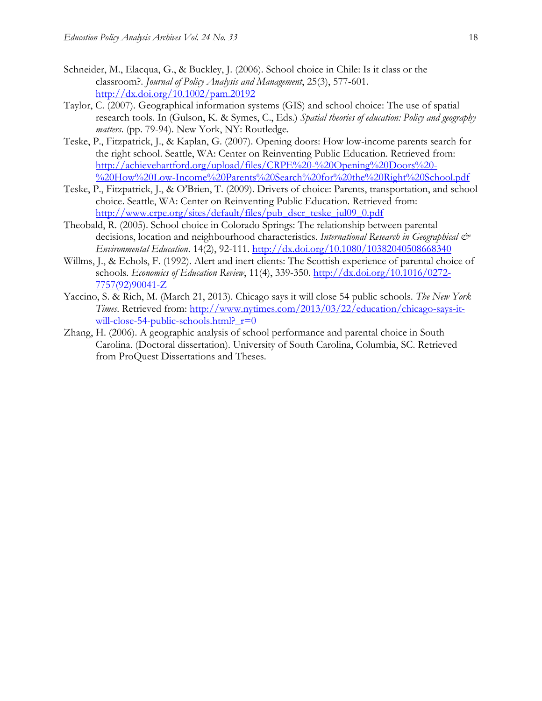- Schneider, M., Elacqua, G., & Buckley, J. (2006). School choice in Chile: Is it class or the classroom?. *Journal of Policy Analysis and Management*, 25(3), 577-601. <http://dx.doi.org/10.1002/pam.20192>
- Taylor, C. (2007). Geographical information systems (GIS) and school choice: The use of spatial research tools. In (Gulson, K. & Symes, C., Eds.) *Spatial theories of education: Policy and geography matters*. (pp. 79-94). New York, NY: Routledge.
- Teske, P., Fitzpatrick, J., & Kaplan, G. (2007). Opening doors: How low-income parents search for the right school. Seattle, WA: Center on Reinventing Public Education. Retrieved from: [http://achievehartford.org/upload/files/CRPE%20-%20Opening%20Doors%20-](http://achievehartford.org/upload/files/CRPE%20-%20Opening%20Doors%20-%20How%20Low-Income%20Parents%20Search%20for%20the%20Right%20School.pdf) [%20How%20Low-Income%20Parents%20Search%20for%20the%20Right%20School.pdf](http://achievehartford.org/upload/files/CRPE%20-%20Opening%20Doors%20-%20How%20Low-Income%20Parents%20Search%20for%20the%20Right%20School.pdf)
- Teske, P., Fitzpatrick, J., & O'Brien, T. (2009). Drivers of choice: Parents, transportation, and school choice. Seattle, WA: Center on Reinventing Public Education. Retrieved from: [http://www.crpe.org/sites/default/files/pub\\_dscr\\_teske\\_jul09\\_0.pdf](http://www.crpe.org/sites/default/files/pub_dscr_teske_jul09_0.pdf)
- Theobald, R. (2005). School choice in Colorado Springs: The relationship between parental decisions, location and neighbourhood characteristics. *International Research in Geographical & Environmental Education*. 14(2), 92-111. <http://dx.doi.org/10.1080/10382040508668340>
- Willms, J., & Echols, F. (1992). Alert and inert clients: The Scottish experience of parental choice of schools. *Economics of Education Review*, 11(4), 339-350. [http://dx.doi.org/10.1016/0272-](http://dx.doi.org/10.1016/0272-7757(92)90041-Z) [7757\(92\)90041-Z](http://dx.doi.org/10.1016/0272-7757(92)90041-Z)
- Yaccino, S. & Rich, M. (March 21, 2013). Chicago says it will close 54 public schools. *The New York Times*. Retrieved from: [http://www.nytimes.com/2013/03/22/education/chicago-says-it](http://www.nytimes.com/2013/03/22/education/chicago-says-it-will-close-54-public-schools.html?_r=0)will-close-54-public-schools.html?  $r=0$
- Zhang, H. (2006). A geographic analysis of school performance and parental choice in South Carolina. (Doctoral dissertation). University of South Carolina, Columbia, SC. Retrieved from ProQuest Dissertations and Theses.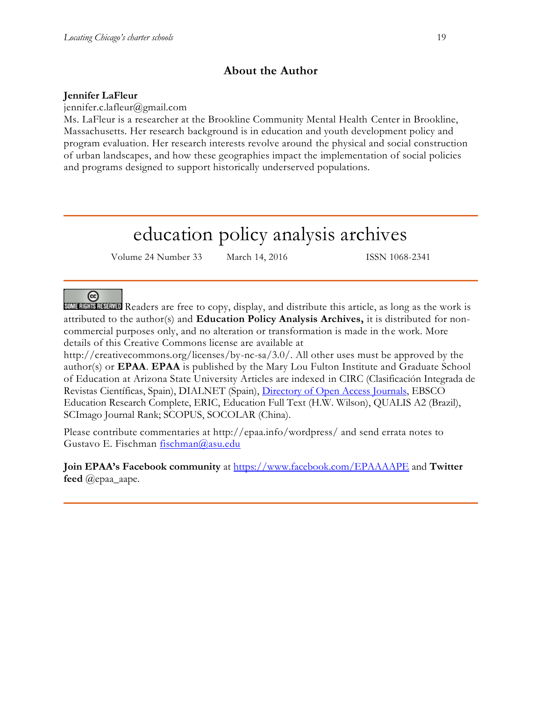## **About the Author**

#### **Jennifer LaFleur**

jennifer.c.lafleur@gmail.com

Ms. LaFleur is a researcher at the Brookline Community Mental Health Center in Brookline, Massachusetts. Her research background is in education and youth development policy and program evaluation. Her research interests revolve around the physical and social construction of urban landscapes, and how these geographies impact the implementation of social policies and programs designed to support historically underserved populations.

# education policy analysis archives

Volume 24 Number 33 March 14, 2016 ISSN 1068-2341

### $(cc)$

**SOME RIGHTS RESERVED** Readers are free to copy, display, and distribute this article, as long as the work is attributed to the author(s) and **Education Policy Analysis Archives,** it is distributed for noncommercial purposes only, and no alteration or transformation is made in the work. More details of this Creative Commons license are available at

http://creativecommons.org/licenses/by-nc-sa/3.0/. All other uses must be approved by the author(s) or **EPAA**. **EPAA** is published by the Mary Lou Fulton Institute and Graduate School of Education at Arizona State University Articles are indexed in CIRC (Clasificación Integrada de Revistas Científicas, Spain), DIALNET (Spain), [Directory of Open Access Journals,](http://www.doaj.org/) EBSCO Education Research Complete, ERIC, Education Full Text (H.W. Wilson), QUALIS A2 (Brazil), SCImago Journal Rank; SCOPUS, SOCOLAR (China).

Please contribute commentaries at http://epaa.info/wordpress/ and send errata notes to Gustavo E. Fischman [fischman@asu.edu](mailto:fischman@asu.edu)

**Join EPAA's Facebook community** at<https://www.facebook.com/EPAAAAPE> and **Twitter feed** @epaa\_aape.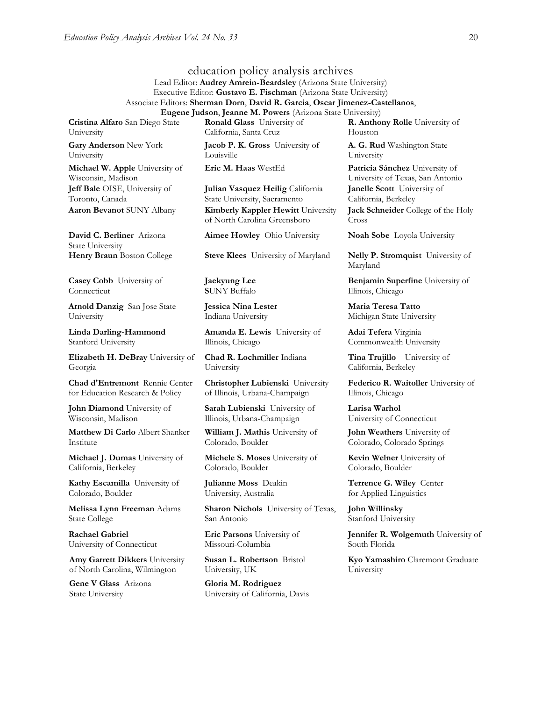education policy analysis archives Lead Editor: **Audrey Amrein-Beardsley** (Arizona State University) Executive Editor: **Gustavo E. Fischman** (Arizona State University) Associate Editors: **Sherman Dorn**, **David R. Garcia**, **Oscar Jimenez-Castellanos**, **Eugene Judson**, **Jeanne M. Powers** (Arizona State University)

**Cristina Alfaro** San Diego State University

**Gary Anderson** New York University

**Michael W. Apple** University of Wisconsin, Madison **Jeff Bale** OISE, University of Toronto, Canada

**David C. Berliner** Arizona State University

**Casey Cobb** University of Connecticut

**Arnold Danzig** San Jose State University

**Linda Darling-Hammond**  Stanford University

**Elizabeth H. DeBray** University of Georgia

**Chad d'Entremont** Rennie Center for Education Research & Policy

**John Diamond** University of Wisconsin, Madison

**Matthew Di Carlo** Albert Shanker Institute

**Michael J. Dumas** University of California, Berkeley

**Kathy Escamilla** University of Colorado, Boulder

**Melissa Lynn Freeman** Adams State College

**Rachael Gabriel** University of Connecticut

**Amy Garrett Dikkers** University of North Carolina, Wilmington

**Gene V Glass** Arizona State University

**Ronald Glass** University of California, Santa Cruz

**Jacob P. K. Gross** University of Louisville

**Julian Vasquez Heilig** California State University, Sacramento **Aaron Bevanot** SUNY Albany **Kimberly Kappler Hewitt** University of North Carolina Greensboro

**Aimee Howley** Ohio University **Noah Sobe** Loyola University

**Jaekyung Lee S**UNY Buffalo

**Jessica Nina Lester** Indiana University

**Amanda E. Lewis** University of Illinois, Chicago

**Chad R. Lochmiller** Indiana University

**Christopher Lubienski** University of Illinois, Urbana-Champaign

**Sarah Lubienski** University of Illinois, Urbana-Champaign

**William J. Mathis** University of Colorado, Boulder

**Michele S. Moses** University of Colorado, Boulder

**Julianne Moss** Deakin University, Australia

**Sharon Nichols** University of Texas, San Antonio

**Eric Parsons** University of Missouri-Columbia

**Susan L. Robertson** Bristol University, UK

**Gloria M. Rodriguez** University of California, Davis

**R. Anthony Rolle** University of Houston

**A. G. Rud** Washington State University

**Eric M. Haas** WestEd **Patricia Sánchez** University of University of Texas, San Antonio **Janelle Scott** University of California, Berkeley **Jack Schneider** College of the Holy Cross

**Henry Braun** Boston College **Steve Klees** University of Maryland **Nelly P. Stromquist** University of Maryland

> **Benjamin Superfine** University of Illinois, Chicago

**Maria Teresa Tatto**  Michigan State University

**Adai Tefera** Virginia Commonwealth University

**Tina Trujillo** University of California, Berkeley

**Federico R. Waitoller** University of Illinois, Chicago

**Larisa Warhol** University of Connecticut

**John Weathers** University of Colorado, Colorado Springs

**Kevin Welner** University of Colorado, Boulder

**Terrence G. Wiley** Center for Applied Linguistics

**John Willinsky**  Stanford University

**Jennifer R. Wolgemuth** University of South Florida

**Kyo Yamashiro** Claremont Graduate University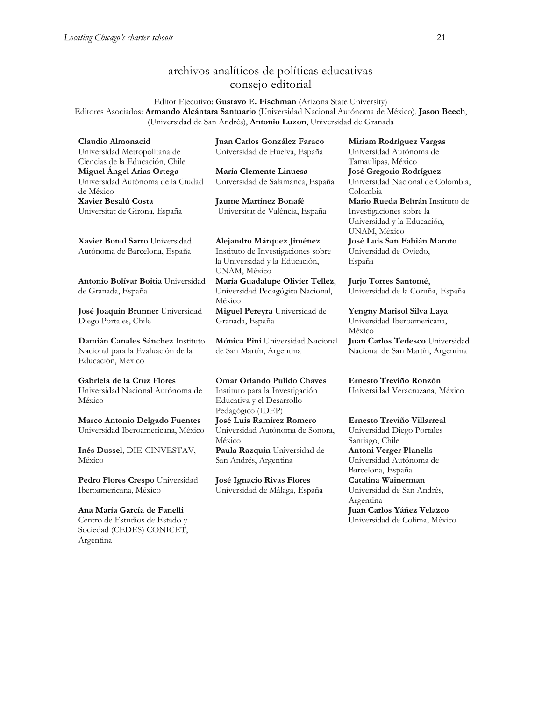## archivos analíticos de políticas educativas consejo editorial

Editor Ejecutivo: **Gustavo E. Fischman** (Arizona State University) Editores Asociados: **Armando Alcántara Santuario** (Universidad Nacional Autónoma de México), **Jason Beech**, (Universidad de San Andrés), **Antonio Luzon**, Universidad de Granada

**Claudio Almonacid** Universidad Metropolitana de Ciencias de la Educación, Chile **Miguel Ángel Arias Ortega**  Universidad Autónoma de la Ciudad de México **Xavier Besalú Costa**  Universitat de Girona, España

**[Xavier Bonal](javascript:openRTWindow() Sarro** Universidad Autónoma de Barcelona, España

**[Antonio Bolívar](javascript:openRTWindow() Boitia** Universidad de Granada, España

**[José Joaquín Brunner](javascript:openRTWindow()** Universidad Diego Portales, Chile

**[Damián Canales Sánchez](javascript:openRTWindow()** Instituto Nacional para la Evaluación de la Educación, México

**Gabriela de la Cruz Flores** Universidad Nacional Autónoma de México

**[Marco Antonio Delgado Fuentes](javascript:openRTWindow()** Universidad Iberoamericana, México

**[Inés Dussel](javascript:openRTWindow()**, DIE-CINVESTAV, México

**[Pedro Flores Crespo](javascript:openRTWindow()** Universidad Iberoamericana, México

**Ana María García de Fanelli**  Centro de Estudios de Estado y Sociedad (CEDES) CONICET, Argentina

**Juan Carlos González Faraco**  Universidad de Huelva, España

**María Clemente Linuesa**  Universidad de Salamanca, España

**Jaume Martínez Bonafé** Universitat de València, España

**Alejandro Márquez Jiménez**  Instituto de Investigaciones sobre la Universidad y la Educación, UNAM, México **María Guadalupe Olivier Tellez**,

Universidad Pedagógica Nacional, México **[Miguel Pereyra](javascript:openRTWindow()** Universidad de Granada, España

**[Mónica Pini](javascript:openRTWindow()** Universidad Nacional de San Martín, Argentina

**Omar Orlando Pulido Chaves** Instituto para la Investigación Educativa y el Desarrollo Pedagógico (IDEP) **[José Luis Ramírez](javascript:openRTWindow() Romero** Universidad Autónoma de Sonora, México **[Paula Razquin](javascript:openRTWindow()** Universidad de San Andrés, Argentina

**José Ignacio Rivas Flores** Universidad de Málaga, España **[Miriam Rodríguez Vargas](javascript:openRTWindow()** Universidad Autónoma de Tamaulipas, México **José Gregorio Rodríguez**  Universidad Nacional de Colombia, Colombia **[Mario Rueda Beltrán](javascript:openRTWindow()** Instituto de Investigaciones sobre la Universidad y la Educación, UNAM, México **José Luis San Fabián Maroto**  Universidad de Oviedo, España

**[Jurjo Torres Santomé](javascript:openRTWindow()**, Universidad de la Coruña, España

**[Yengny Marisol Silva Laya](javascript:openRTWindow()** Universidad Iberoamericana, México

**Juan Carlos Tedesco** Universidad Nacional de San Martín, Argentina

**Ernesto Treviño Ronzón** Universidad Veracruzana, México

**[Ernesto Treviño](javascript:openRTWindow() Villarreal** Universidad Diego Portales

Santiago, Chile **[Antoni Verger Planells](javascript:openRTWindow()** Universidad Autónoma de Barcelona, España **[Catalina Wainerman](javascript:openRTWindow()** Universidad de San Andrés, Argentina **Juan Carlos Yáñez Velazco** Universidad de Colima, México